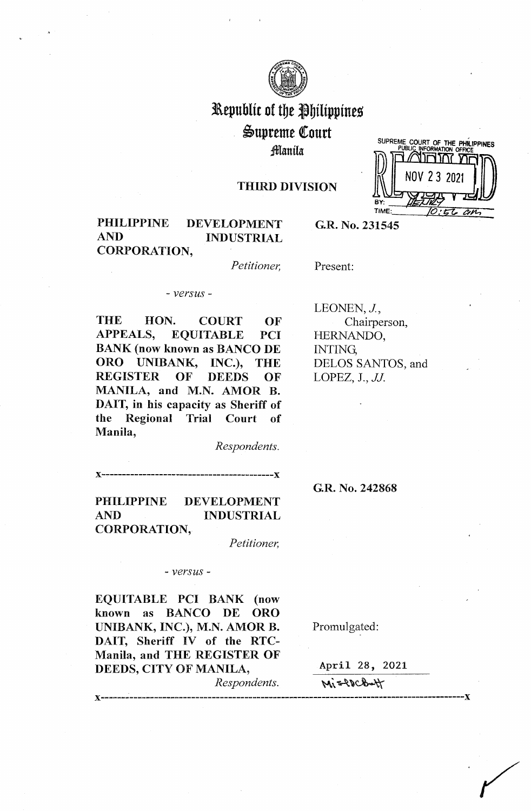

# Republic of the Philippines ~upreme (ourt fflanila

## THIRD DIVISION



## PHILIPPINE DEVELOPMENT AND INDUSTRIAL CORPORATION,

**G.R. No. 231545** 

*Petitioner,* 

Present:

- *versus* -

THE HON. COURT OF APPEALS, EQUITABLE PCI BANK (now known as BANCO DE ORO UNIBANK, INC.), THE REGISTER OF DEEDS OF MANILA, and M.N. AMOR B. DAIT, in his capacity as Sheriff of the Regional Trial Court of Manila,

LEONEN, J., Chairperson, HERNANDO, INTING, DELOS SANTOS, and LOPEZ, J., *JJ.* 

**x------------------------------------------x** 

**G.R. No. 242868** 

PHILIPPINE DEVELOPMENT AND INDUSTRIAL CORPORATION,

*Petitioner,* 

*Respondents.* 

## - *versus* -

**EQUITABLE PCI BANK (now known as BANCO DE ORO UNIBANK, INC.), M.N. AMOR B.**  DAIT, Sheriff IV of the RTC-**Manila, and THE REGISTER OF DEEDS, CITY OF MANILA,** 

*Respondents.* 

x------ -----------------------------------------------------------------------------------x

April 28, 2021

Promulgated:

Missolat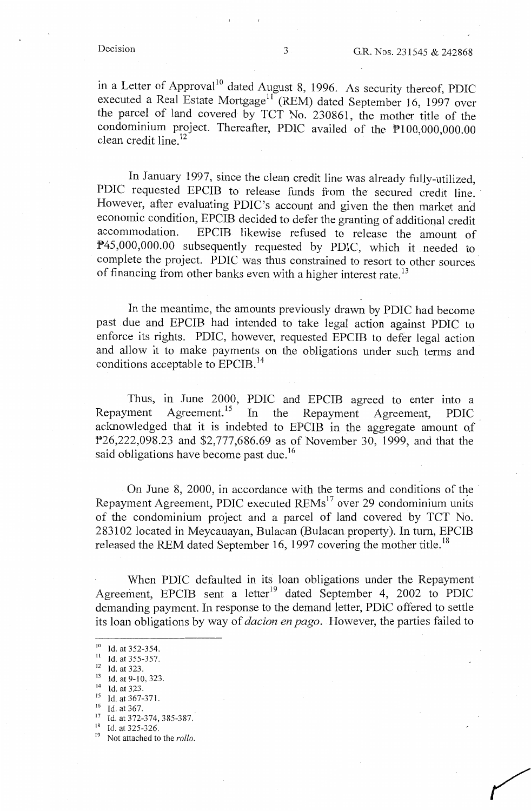in a Letter of Approval<sup>10</sup> dated August 8, 1996. As security thereof, PDIC executed a Real Estate Mortgage<sup>11</sup> (REM) dated September 16, 1997 over the parcel of land covered by TCT No. 230861, the mother title of the condominium project. Thereafter, PDIC availed of the P100,000,000.00 clean credit line. <sup>12</sup>

In January 1997, since the clean credit line was already fully-utilized, PDIC requested EPCIB to release funds from the secured credit line. However, after evaluating PDIC's account and given the then market and economic condition, EPCIB decided to defer the granting of additional credit<br>accommodation. EPCIB likewise refused to release the amount of EPCIB likewise refused to release the amount of P45,000,000.00 subsequently requested by PDIC, which it needed to complete the project. PDIC was thus constrained to resort to other sources of financing from other banks even with a higher interest rate.<sup>13</sup>

In the meantime, the amounts previously drawn by PDIC had become past due and EPCIB had intended to take legal action against PDIC to enforce its rights. PDIC, however, requested EPCIB to defer legal action and allow it to make payments on the obligations under such terms and conditions acceptable to EPCIB.<sup>14</sup>

Thus, in June 2000, PDIC and EPCIB agreed to enter into a Repayment Agreement.<sup>15</sup> In the Repayment Agreement, PDIC acknowledged that it is indebted to EPCIB in the aggregate amount of P26,222,098.23 and \$2,777,686.69 as of November 30, 1999, and that the said obligations have become past due.<sup>16</sup>

On June 8,  $2000$ , in accordance with the terms and conditions of the Repayment Agreement, PDIC executed REMs<sup>17</sup> over 29 condominium units of the condominium project and a parcel of land covered by TCT No. 283102 located in Meycauayan, Bulacan (Bulacan property). In turn, EPCIB released the REM dated September 16, 1997 covering the mother title.<sup>18</sup>

When PDIC defaulted in its loan obligations under the Repayment Agreement, EPCIB sent a letter<sup>19</sup> dated September 4, 2002 to PDIC demanding payment. In response to the demand letter, PDIC offered to settle its loan obligations by way of *dacion en pago.* However, the parties failed to

<sup>&</sup>lt;sup>10</sup>Id. at 352-354.<br><sup>11</sup>Id. at 355-357.

<sup>&</sup>lt;sup>12</sup> Id. at 323.<br><sup>13</sup> Id. at 9-10, 323.

 $14$  Id. at 323.

<sup>&</sup>lt;sup>15</sup> Id. at 367-371.<br><sup>16</sup> Id. at 367.

 $17$  Id. at 372-374, 385-387.<br><sup>18</sup> Id. at 325-326.

Not attached to the *rollo*.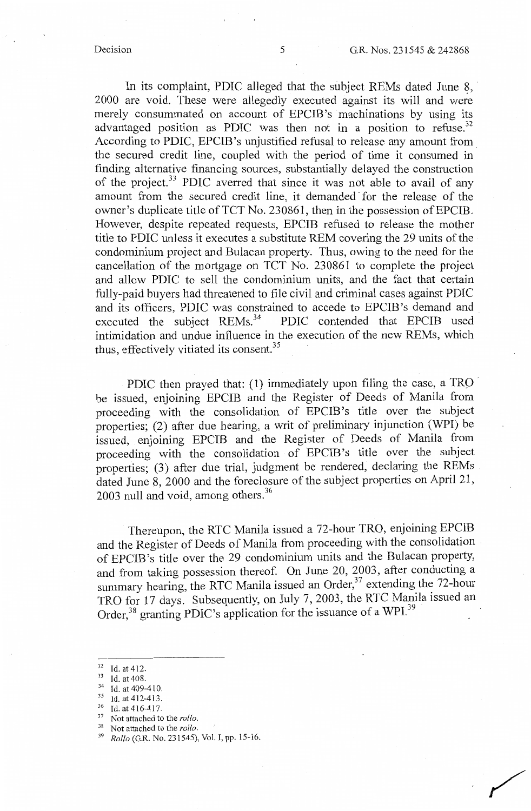/

In its complaint, PDIC alleged that the subject REMs dated June 8, 2000 are void. These were allegedly executed against its will and were merely consummated on account of EPCIB 's machinations by using its advantaged position as PDIC was then not in a position to refuse.<sup>32</sup> According to PDIC, EPCIB's unjustified refusal to release any amount from. the secured credit line, coupled with the period of time it consumed in finding alternative financing sources, substantially delayed the construction of the project.<sup>33</sup> PDIC averred that since it was not able to avail of any amount from the secured credit line, it demanded· for the release of the owner's duplicate title of TCT No. 230861, then in the possession of EPCIB. However, despite repeated requests, EPCIB refused to release the mother title to PDIC unless it executes a substitute REM covering the 29 units of the condominium project and Bulacan property. Thus, owing to the need for the cancellation of the mortgage on TCT No. 230861 to complete the project and allow PDIC to sell the condominium units, and the fact that certain fully-paid buyers had threatened to file civil and criminal cases against PDIC and its officers, PDIC was constrained to accede to EPCIB's demand and executed the subject REMs.<sup>34</sup> PDIC contended that EPCIB used PDIC contended that EPCIB used intimidation and undue influence in the execution of the new REMs, which thus, effectively vitiated its consent.<sup>35</sup>

PDIC then prayed that: (1) immediately upon filing the case, a TRO be issued, enjoining EPCIB and the Register of Deeds of Manila from proceeding with the consolidation of EPCIB 's title over the subject properties; (2) after due hearing, a writ of preliminary injunction (WPI) be issued, enjoining EPCIB and the Register of Deeds of Manila from proceeding with the consolidation of EPCIB 's title over the subject properties; (3) after due trial, judgment be rendered, declaring the REMs dated June 8, 2000 and the foreclosure of the subject properties on April 21, 2003 null and void, among others.<sup>36</sup>

Thereupon, the RTC Manila issued a 72-hour TRO, enjoining EPCIB and the Register of Deeds of Manila from proceeding with the consolidation of EPCIB 's title over the 29 condominium units and the Bulacan property, and from taking possession thereof. On June 20, 2003, after conducting a summary hearing, the RTC Manila issued an Order,  $37$  extending the 72-hour TRO for 17 days. Subsequently, on July 7, 2003, the RTC Manila issued an Order,<sup>38</sup> granting PDIC's application for the issuance of a WPI.<sup>39</sup>

- 32 Id. at 412.<br>
33 Id. at 408.<br>
34 Id. at 409-410.<br>
35 Id. at 412-413.<br>
36 Id. at 416-417.<br>
37 Not attached to the *rollo*.
- <sup>38</sup> Not attached to the *rollo*.<br><sup>39</sup> P<sub>a</sub>lle (C.B. No. 231545)

*Rollo* (G.R. No. 231545), Vol. I, pp. 15-16.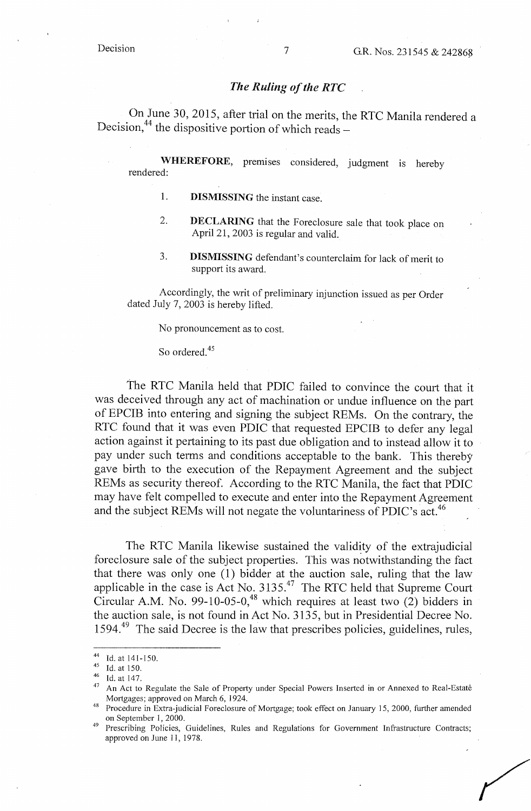## *The Ruling of the RTC*

On June 30, 2015, after trial on the merits, the RTC Manila rendered a Decision,  $44$  the dispositive portion of which reads -

**WHEREFORE,** premises considered, judgment is hereby rendered:

- 1. **DISMISSING** the instant case.
- 2. **DECLARING** that the Foreclosure sale that took place on April 21, 2003 is regular and valid.
- 3. **DISMISSING** defendant's counterclaim for lack of merit to support its award.

Accordingly, the writ of preliminary injunction issued as per Order dated July 7, 2003 is hereby lifted.

No pronouncement as to cost.

So ordered.<sup>45</sup>

The RTC Manila held that PDIC failed to convince the court that it was deceived through any act of machination or undue influence on the part of EPCIB into entering and signing the subject REMs. On the contrary, the RTC found that it was even PDIC that requested EPCIB to defer any legal action against it pertaining to its past due obligation and to instead allow it to pay under such terms and conditions acceptable to the bank. This thereby gave birth to the execution of the Repayment Agreement and the subject REMs as security thereof. According to the RTC Manila, the fact that PDIC may have felt compelled to execute and enter into the Repayment Agreement and the subject REMs will not negate the voluntariness of PDIC's act.<sup>46</sup>

The RTC Manila likewise sustained the validity of the extrajudicial foreclosure sale of the subject properties. This was notwithstanding the fact that there was only one  $(1)$  bidder at the auction sale, ruling that the law applicable in the case is Act No. 3135.47 The RTC held that Supreme Court Circular A.M. No. 99-10-05-0,<sup>48</sup> which requires at least two  $(2)$  bidders in the auction sale, is not found in Act No. 3135, but in Presidential Decree No. 1594.<sup>49</sup> The said Decree is the law that prescribes policies, guidelines, rules,

<sup>44</sup> Id. at 141-150.<br>
45 Id. at 150.<br>
46 Id. at 147.

An Act to Regulate the Sale of Property under Special Powers Inserted in or Annexed to Real-Estate Mortgages; approved on March 6, 1924.<br>Procedure in Extra-judicial Foreclosure of Mortgage; took effect on January 15, 2000, further amended

on September 1, 2000.<br>Prescribing Policies, Guidelines, Rules and Regulations for Government Infrastructure Contracts; approved on June 11, 1978.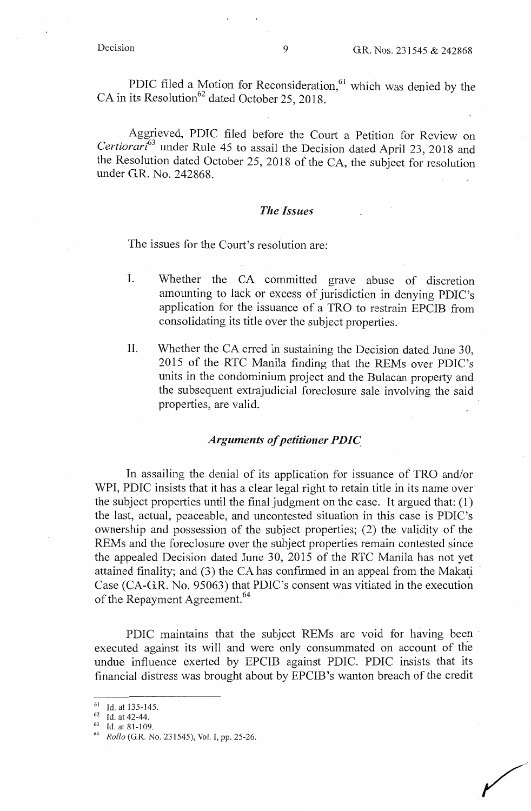PDIC filed a Motion for Reconsideration, $61$  which was denied by the  $CA$  in its Resolution<sup>62</sup> dated October 25, 2018.

Aggrieved, PDIC filed before the Court a Petition for Review on *Certiorari<sup>63</sup>*under Rule 45 to assail the Decision dated April 23, 2018 and the Resolution dated October 25, 2018 of the CA, the subject for resolution under G.R. No. 242868. ·

## *The Issues*

The issues for the Court's resolution are:

- I. Whether the CA committed grave abuse of discretion amounting to lack or excess of jurisdiction in denying PDIC's application for the issuance of a TRO to restrain EPCIB from consolidating its title over the subject properties.
- II. Whether the CA erred in sustaining the Decision dated June 30, 2015 of the RTC Manila finding that the REMs over PDIC's units in the condominium project and the Bulacan property and the subsequent extrajudicial foreclosure sale involving the said properties, are valid.

## *Arguments of petitioner PDIC.*

In assailing the denial of its application for issuance of TRO and/or WPI, PDIC insists that it has a clear legal right to retain title in its name over the subject properties until the final judgment on the case. It argued that: (1) the last, actual, peaceable, and uncontested situation in this case is PDIC's ownership and possession of the subject properties; (2) the validity of the REMs and the foreclosure over the subject properties remain contested since the appealed Decision dated June 30, 2015 of the RTC Manila has not yet attained finality; and  $(3)$  the CA has confirmed in an appeal from the Makati Case (CA-G.R. No. 95063) that PDIC's consent was vitiated in the execution of the Repayment Agreement.<sup>64</sup>

PDIC maintains that the subject REMs are void for having been executed against its will and were only consummated on account of the undue influence exerted by EPCIB against PDIC. PDIC insists that its financial distress was brought about by EPCIB 's wanton breach of the credit

<sup>61</sup> Id. at 135-145. 62 Id. at 42-44. 63 Id. at 81-109. 64 *Rollo* (G.R. No. 231545), Vol. I, pp. 25-26.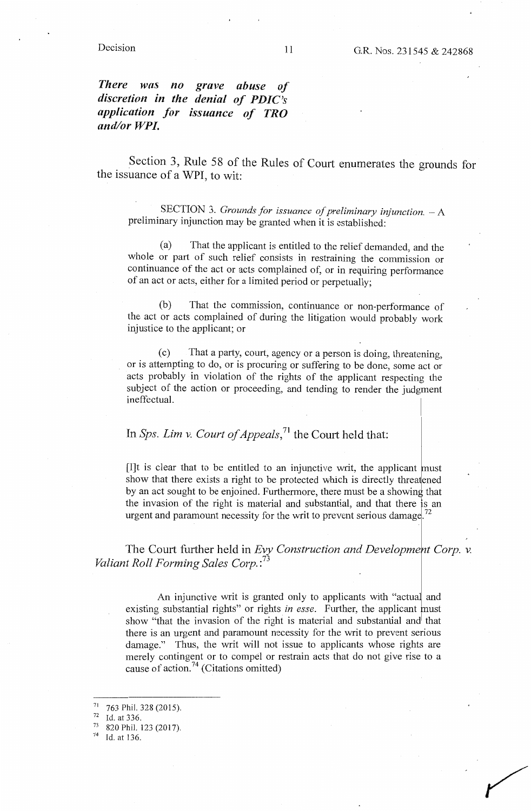### Decision

*There was no discretion in the denial of PDIC's application for issuance of TRO and/or WP/. grave abuse of* 

Section 3, Rule 58 of the Rules of Court enumerates the grounds for the issuance of a WPI, to wit:

SECTION 3. *Grounds for issuance of preliminary injunction.*  $-A$ preliminary injunction may be granted when it is established:

(a) That the applicant is entitled to the relief demanded, and the whole or part of such relief consists in restraining the commission or continuance of the act or acts complained of, or in requiring performance of an act or acts, either for a limited period or perpetually;

(b) That the commission, continuance or non-performance of the act or acts complained of during the litigation would probably work injustice to the applicant; or

( c) That a party, court, agency or a person is doing, threatening, or is attempting to do, or is procuring or suffering to be done, some act or acts probably in violation of the rights of the applicant respecting the subject of the action or proceeding, and tending to render the judgment ineffectual.

## In *Sps. Lim* v. *Court of Appeals,* 71 the Court held that:

 $[1]$ t is clear that to be entitled to an injunctive writ, the applicant must show that there exists a right to be protected which is directly threatened by an act sought to be enjoined. Furthermore, there must be a showing that the invasion of the right is material and substantial, and that there is an urgent and paramount necessity for the writ to prevent serious damage.<sup>72</sup>

The Court further held in *Evy Construction and Development Corp. v. Valiant Roll Forming Sales Corp.* : 73

An injunctive writ is granted only to applicants with "actual and existing substantial rights" or rights *in esse*. Further, the applicant must show "that the invasion of the right is material and substantial and that there is an urgent and paramount necessity for the writ to prevent serious damage." Thus, the writ will not issue to applicants whose rights are merely contingent or to compel or restrain acts that do not give rise to a cause of action.<sup>74</sup> (Citations omitted)

 $\frac{71}{72}$  763 Phil. 328 (2015).<br>  $\frac{72}{73}$  Id. at 336.<br>  $\frac{820}{11}$  Phil. 123 (2017).

Id. at 136.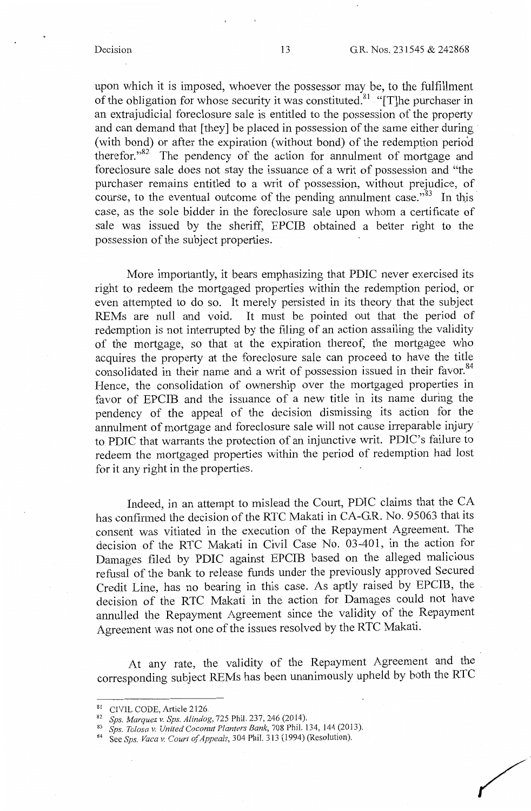upon which it is imposed, whoever the possessor may be, to the fulfillment of the obligation for whose security it was constituted.<sup>81</sup> "[T]he purchaser in an extrajudicial foreclosure sale is entitled to the possession of the property and can demand that [they] be placed in possession of the same either during· (with bond) or after the expiration (without bond) of the redemption perio'd therefor." $82$ <sup>'</sup> The pendency of the action for annulment of mortgage and foreclosure sale does not stay the issuance of a writ of possession and "the purchaser remains entitled to a writ of possession, without prejudice, of course, to the eventual outcome of the pending annulment case."<sup>83</sup> In this case, as the sole bidder in the foreclosure sale upon whom a certificate of sale was issued by the sheriff, EPCIB obtained a better right to the possession of the subject properties.

More importantly, it bears emphasizing that PDIC never exercised its right to redeem the mortgaged properties within the redemption period, or even attempted to do so. It merely persisted in its theory that the subject REMs are null and void. It must be pointed out that the period of redemption is not interrupted by the filing of an action assailing the validity of the mortgage, so that at the expiration thereof, the mortgagee who acquires the property at the foreclosure sale can proceed to have the title consolidated in their name and a writ of possession issued in their favor.<sup>84</sup> Hence, the consolidation of ownership over the mortgaged properties in favor of EPCIB and the issuance of a new title in its name during the pendency of the appeal of the decision dismissing its action for the annulment of mortgage and foreclosure sale will not cause irreparable injury to PDIC that warrants the protection of an injunctive writ. PDIC's failure to redeem the mortgaged properties within the period of redemption had lost for it any right in the properties.

Indeed, in an attempt to mislead the Court, PDIC claims that the CA has confirmed the decision of the RTC Makati in CA-GR. No. 95063 that its consent was vitiated in the execution of the Repayment Agreement. The decision of the RTC Makati in Civil Case No. 03-401, in the action for Damages filed by PDIC against EPCIB based on the alleged malicious refusal of the bank to release funds under the previously approved Secured Credit Line, has no bearing in this case. As aptly raised by EPCIB, the decision of the RTC Makati in the action for Damages could not have annulled the Repayment Agreement since the validity of the Repayment Agreement was not one of the issues resolved by the RTC Makati.

At any rate, the validity of the Repayment Agreement and the corresponding subject REMs has been unanimously upheld by both the RTC

<sup>&</sup>lt;sup>81</sup> CIVIL CODE, Article 2126.<br><sup>82</sup> *Sps. Marquez v. Sps. Alindog*, 725 Phil. 237, 246 (2014).<br><sup>83</sup> *Sps. Tolosa v. United Coconut Planters Bank*, 708 Phil. 134, 144 (2013).<br><sup>84</sup> See *Sps. Vaca v. Court of Appeals*, 304 P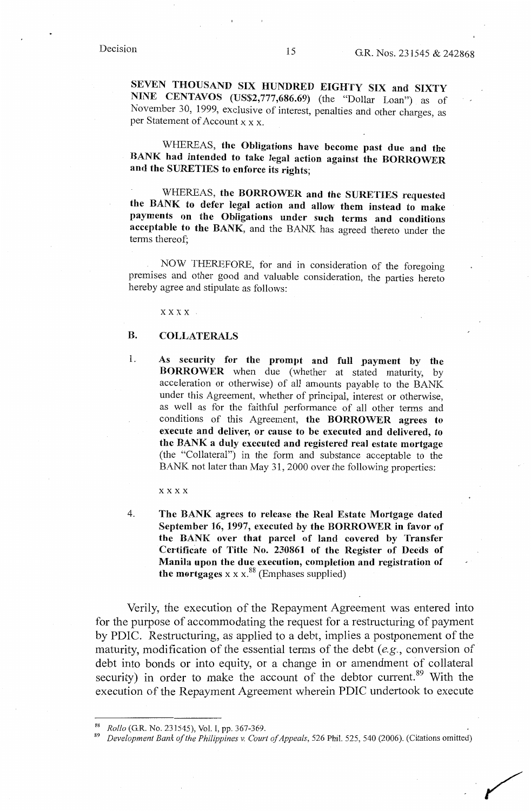**SEVEN THOUSAND SIX HUNDRED EIGHTY SIX and SIXTY NINE CENTAVOS (US\$2,777,686.69)** (the "Dollar Loan") as of November 30, 1999, exclusive of interest, penalties and other charges, as per Statement of Account x x x.

WHEREAS, **the Obligations have become past due and the BANK had intended to take legal action against the BORROWER and the SURETIES to enforce its rights;** 

WHEREAS, **the BORROWER and the SURETIES requested the BANK to defer legal action and allow them instead to make payments on the Obligations under such terms and conditions acceptable to the BANK,** and the BANK has agreed thereto under the terms thereof;

NOW THEREFORE, for and in consideration of the foregoing premises and other good and valuable consideration, the parties hereto hereby agree and stipulate as follows:

xxxx

## **B. COLLATERALS**

1. **As security for the prompt and full payment by the BORROWER** when due (whether at stated maturity, by acceleration or otherwise) of all amounts payable to the BANK under this Agreement, whether of principal, interest or otherwise, as well as for the faithful performance of all other terms and conditions of this Agreement, **the BORROWER agrees to execute and deliver, or cause to be executed and delivered, to the BANK a duly executed and registered real estate mortgage**  (the "Collateral") in the form and substance acceptable to the BANK not later than May 31, 2000 over the following properties:

xxxx

4. **The BANK agrees to release the Real Estate Mortgage dated September 16, 1997, executed by the BORROWER in favor of the BANK over that parcel of land covered by Transfer Certificate of Title No. 230861 of the Register of Deeds of Manila upon the due execution, completion and registration of**  the mortgages  $x \times x$ .<sup>88</sup> (Emphases supplied)

Verily, the execution of the Repayment Agreement was entered into for the purpose of accommodating the request for a restructuring of payment by PDIC. Restructuring, as applied to a debt, implies a postponement of the maturity, modification of the essential terms of the debt *(e.g.,* conversion of debt into bonds or into equity, or a change in or amendment of collateral security) in order to make the account of the debtor current.<sup>89</sup> With the execution of the Repayment Agreement wherein PDIC undertook to execute

<sup>88</sup>*Rollo* (G.R. No. 231545), Vol. I, pp. 367-369. 89 *Development Bank of the Philippines v. Court of Appeals,* 526 Phil. 525, 540 (2006). (Citations omitted)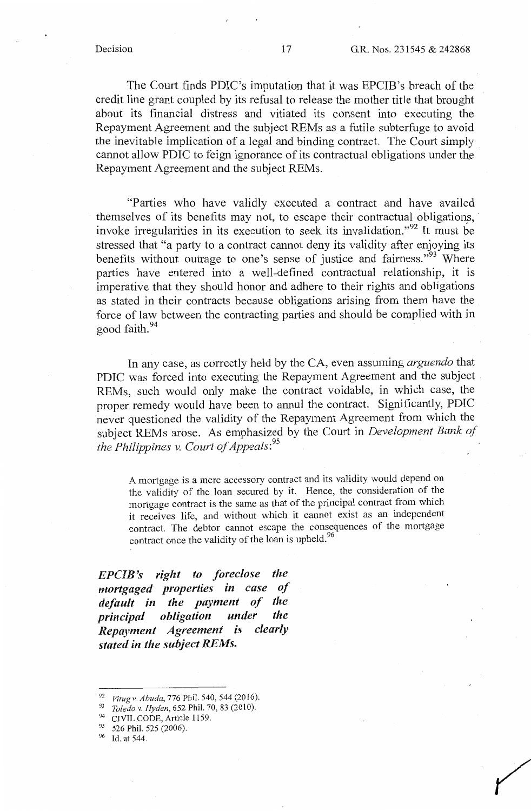The Court finds PDIC's imputation that it was EPCIB's breach of the credit line grant coupled by its refusal to release the mother title that brought about its financial distress and vitiated its consent into executing the Repayment Agreement and the subject REMs as a futile subterfuge to avoid the inevitable implication of a legal and binding contract. The Court simply . cannot allow PDIC to feign ignorance of its contractual obligations under the Repayment Agreement and the subject REMs.

"Parties who have validly executed a contract and have availed themselves of its benefits may not, to escape their contractual obligations, · invoke irregularities in its execution to seek its invalidation."<sup>92</sup> It must be stressed that "a party to a contract cannot deny its validity after enjoying its benefits without outrage to one's sense of justice and fairness."<sup>93</sup> Where parties have entered into a well-defined contractual relationship, it is imperative that they should honor and adhere to their rights and obligations as stated in their contracts because obligations arising from them have the force of law between the contracting parties and should be complied with in good faith. 94

In any case, as correctly held by the CA, even assuming *arguendo* that PDIC was forced into executing the Repayment Agreement and the subject REMs, such would only make the contract voidable, in which case, the proper remedy would have been to annul the contract. Significantly, PDIC never questioned the validity of the Repayment Agreement from which the subject REMs arose. As emphasized by the Court in *Development Bank of the Philippines v. Court of Appeals:*<sup>95</sup>

A mortgage is a mere accessory contract and its validity would depend on the validity of the loan secured by it. Hence, the consideration of the mortgage contract is the same as that of the principal contract from which it receives life, and without which it cannot exist as an independent contract. The debtor cannot escape the consequences of the mortgage contract once the validity of the loan is upheld.<sup>96</sup>

*EPCIB 's right to foreclose the mortgaged properties in case of default in the payment of the principal obligation under the Repayment Agreement is clearly stated in the subject REMs.* 

96 Id. at 544.

<sup>&</sup>lt;sup>92</sup> *Vitug v. Abuda, 776 Phil. 540, 544 (2016).*<br><sup>93</sup> *Toledo v. Hyden, 652 Phil. 70, 83 (2010).*<br><sup>94</sup> CIVIL CODE, Article 1159.<br><sup>95</sup> 526 Phil. 525 (2006).